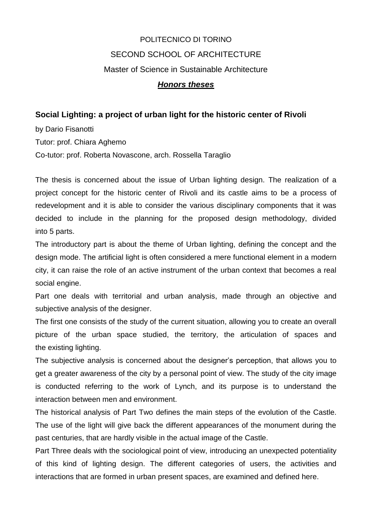## POLITECNICO DI TORINO SECOND SCHOOL OF ARCHITECTURE Master of Science in Sustainable Architecture *Honors theses*

## **Social Lighting: a project of urban light for the historic center of Rivoli**

by Dario Fisanotti Tutor: prof. Chiara Aghemo Co-tutor: prof. Roberta Novascone, arch. Rossella Taraglio

The thesis is concerned about the issue of Urban lighting design. The realization of a project concept for the historic center of Rivoli and its castle aims to be a process of redevelopment and it is able to consider the various disciplinary components that it was decided to include in the planning for the proposed design methodology, divided into 5 parts.

The introductory part is about the theme of Urban lighting, defining the concept and the design mode. The artificial light is often considered a mere functional element in a modern city, it can raise the role of an active instrument of the urban context that becomes a real social engine.

Part one deals with territorial and urban analysis, made through an objective and subjective analysis of the designer.

The first one consists of the study of the current situation, allowing you to create an overall picture of the urban space studied, the territory, the articulation of spaces and the existing lighting.

The subjective analysis is concerned about the designer's perception, that allows you to get a greater awareness of the city by a personal point of view. The study of the city image is conducted referring to the work of Lynch, and its purpose is to understand the interaction between men and environment.

The historical analysis of Part Two defines the main steps of the evolution of the Castle. The use of the light will give back the different appearances of the monument during the past centuries, that are hardly visible in the actual image of the Castle.

Part Three deals with the sociological point of view, introducing an unexpected potentiality of this kind of lighting design. The different categories of users, the activities and interactions that are formed in urban present spaces, are examined and defined here.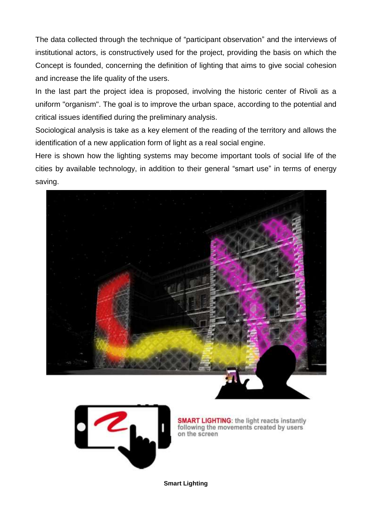The data collected through the technique of "participant observation" and the interviews of institutional actors, is constructively used for the project, providing the basis on which the Concept is founded, concerning the definition of lighting that aims to give social cohesion and increase the life quality of the users.

In the last part the project idea is proposed, involving the historic center of Rivoli as a uniform "organism". The goal is to improve the urban space, according to the potential and critical issues identified during the preliminary analysis.

Sociological analysis is take as a key element of the reading of the territory and allows the identification of a new application form of light as a real social engine.

Here is shown how the lighting systems may become important tools of social life of the cities by available technology, in addition to their general "smart use" in terms of energy saving.





**SMART LIGHTING:** the light reacts instantly following the movements created by users on the screen

**Smart Lighting**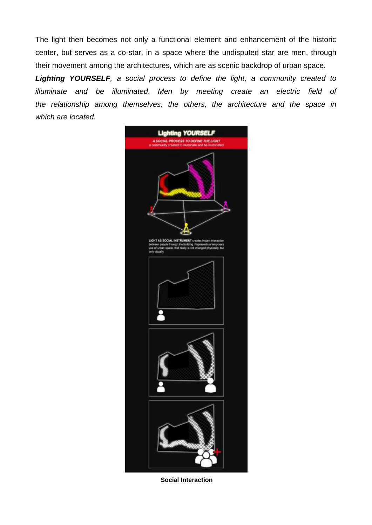The light then becomes not only a functional element and enhancement of the historic center, but serves as a co-star, in a space where the undisputed star are men, through their movement among the architectures, which are as scenic backdrop of urban space.

*Lighting YOURSELF, a social process to define the light, a community created to illuminate and be illuminated. Men by meeting create an electric field of the relationship among themselves, the others, the architecture and the space in which are located.*



**Social Interaction**